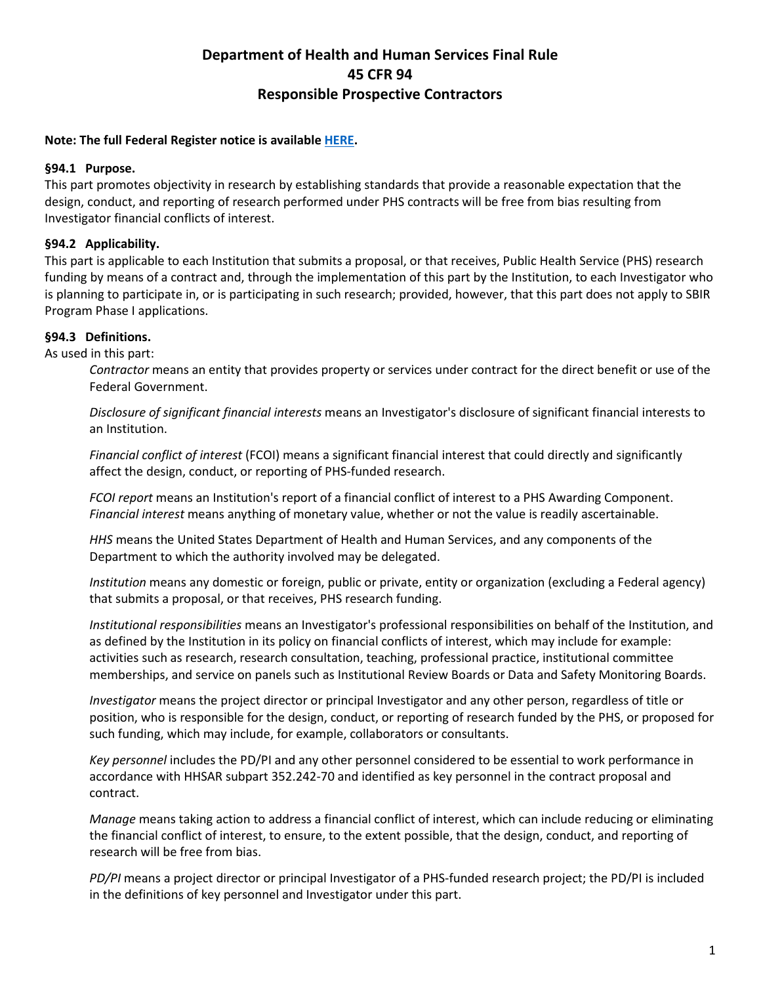# **Department of Health and Human Services Final Rule 45 CFR 94 Responsible Prospective Contractors**

# **Note: The full Federal Register notice is available [HERE.](https://www.federalregister.gov/documents/2011/08/25/2011-21633/responsibility-of-applicants-for-promoting-objectivity-in-research-for-which-public-health-service)**

#### **§94.1 Purpose.**

This part promotes objectivity in research by establishing standards that provide a reasonable expectation that the design, conduct, and reporting of research performed under PHS contracts will be free from bias resulting from Investigator financial conflicts of interest.

# **§94.2 Applicability.**

This part is applicable to each Institution that submits a proposal, or that receives, Public Health Service (PHS) research funding by means of a contract and, through the implementation of this part by the Institution, to each Investigator who is planning to participate in, or is participating in such research; provided, however, that this part does not apply to SBIR Program Phase I applications.

## **§94.3 Definitions.**

As used in this part:

*Contractor* means an entity that provides property or services under contract for the direct benefit or use of the Federal Government.

*Disclosure of significant financial interests* means an Investigator's disclosure of significant financial interests to an Institution.

*Financial conflict of interest* (FCOI) means a significant financial interest that could directly and significantly affect the design, conduct, or reporting of PHS-funded research.

*FCOI report* means an Institution's report of a financial conflict of interest to a PHS Awarding Component. *Financial interest* means anything of monetary value, whether or not the value is readily ascertainable.

*HHS* means the United States Department of Health and Human Services, and any components of the Department to which the authority involved may be delegated.

*Institution* means any domestic or foreign, public or private, entity or organization (excluding a Federal agency) that submits a proposal, or that receives, PHS research funding.

*Institutional responsibilities* means an Investigator's professional responsibilities on behalf of the Institution, and as defined by the Institution in its policy on financial conflicts of interest, which may include for example: activities such as research, research consultation, teaching, professional practice, institutional committee memberships, and service on panels such as Institutional Review Boards or Data and Safety Monitoring Boards.

*Investigator* means the project director or principal Investigator and any other person, regardless of title or position, who is responsible for the design, conduct, or reporting of research funded by the PHS, or proposed for such funding, which may include, for example, collaborators or consultants.

*Key personnel* includes the PD/PI and any other personnel considered to be essential to work performance in accordance with HHSAR subpart 352.242-70 and identified as key personnel in the contract proposal and contract.

*Manage* means taking action to address a financial conflict of interest, which can include reducing or eliminating the financial conflict of interest, to ensure, to the extent possible, that the design, conduct, and reporting of research will be free from bias.

*PD/PI* means a project director or principal Investigator of a PHS-funded research project; the PD/PI is included in the definitions of key personnel and Investigator under this part.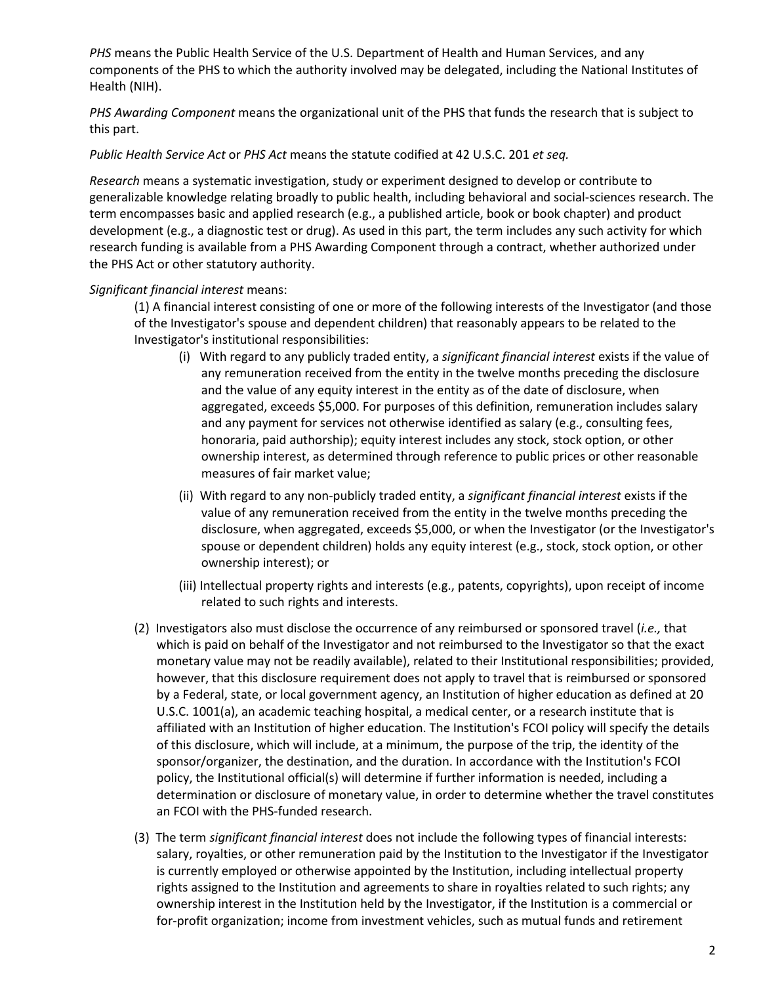*PHS* means the Public Health Service of the U.S. Department of Health and Human Services, and any components of the PHS to which the authority involved may be delegated, including the National Institutes of Health (NIH).

*PHS Awarding Component* means the organizational unit of the PHS that funds the research that is subject to this part.

*Public Health Service Act* or *PHS Act* means the statute codified at 42 U.S.C. 201 *et seq.*

*Research* means a systematic investigation, study or experiment designed to develop or contribute to generalizable knowledge relating broadly to public health, including behavioral and social-sciences research. The term encompasses basic and applied research (e.g., a published article, book or book chapter) and product development (e.g., a diagnostic test or drug). As used in this part, the term includes any such activity for which research funding is available from a PHS Awarding Component through a contract, whether authorized under the PHS Act or other statutory authority.

## *Significant financial interest* means:

(1) A financial interest consisting of one or more of the following interests of the Investigator (and those of the Investigator's spouse and dependent children) that reasonably appears to be related to the Investigator's institutional responsibilities:

- (i) With regard to any publicly traded entity, a *significant financial interest* exists if the value of any remuneration received from the entity in the twelve months preceding the disclosure and the value of any equity interest in the entity as of the date of disclosure, when aggregated, exceeds \$5,000. For purposes of this definition, remuneration includes salary and any payment for services not otherwise identified as salary (e.g., consulting fees, honoraria, paid authorship); equity interest includes any stock, stock option, or other ownership interest, as determined through reference to public prices or other reasonable measures of fair market value;
- (ii) With regard to any non-publicly traded entity, a *significant financial interest* exists if the value of any remuneration received from the entity in the twelve months preceding the disclosure, when aggregated, exceeds \$5,000, or when the Investigator (or the Investigator's spouse or dependent children) holds any equity interest (e.g., stock, stock option, or other ownership interest); or
- (iii) Intellectual property rights and interests (e.g., patents, copyrights), upon receipt of income related to such rights and interests.
- (2) Investigators also must disclose the occurrence of any reimbursed or sponsored travel (*i.e.,* that which is paid on behalf of the Investigator and not reimbursed to the Investigator so that the exact monetary value may not be readily available), related to their Institutional responsibilities; provided, however, that this disclosure requirement does not apply to travel that is reimbursed or sponsored by a Federal, state, or local government agency, an Institution of higher education as defined at 20 U.S.C. 1001(a), an academic teaching hospital, a medical center, or a research institute that is affiliated with an Institution of higher education. The Institution's FCOI policy will specify the details of this disclosure, which will include, at a minimum, the purpose of the trip, the identity of the sponsor/organizer, the destination, and the duration. In accordance with the Institution's FCOI policy, the Institutional official(s) will determine if further information is needed, including a determination or disclosure of monetary value, in order to determine whether the travel constitutes an FCOI with the PHS-funded research.
- (3) The term *significant financial interest* does not include the following types of financial interests: salary, royalties, or other remuneration paid by the Institution to the Investigator if the Investigator is currently employed or otherwise appointed by the Institution, including intellectual property rights assigned to the Institution and agreements to share in royalties related to such rights; any ownership interest in the Institution held by the Investigator, if the Institution is a commercial or for-profit organization; income from investment vehicles, such as mutual funds and retirement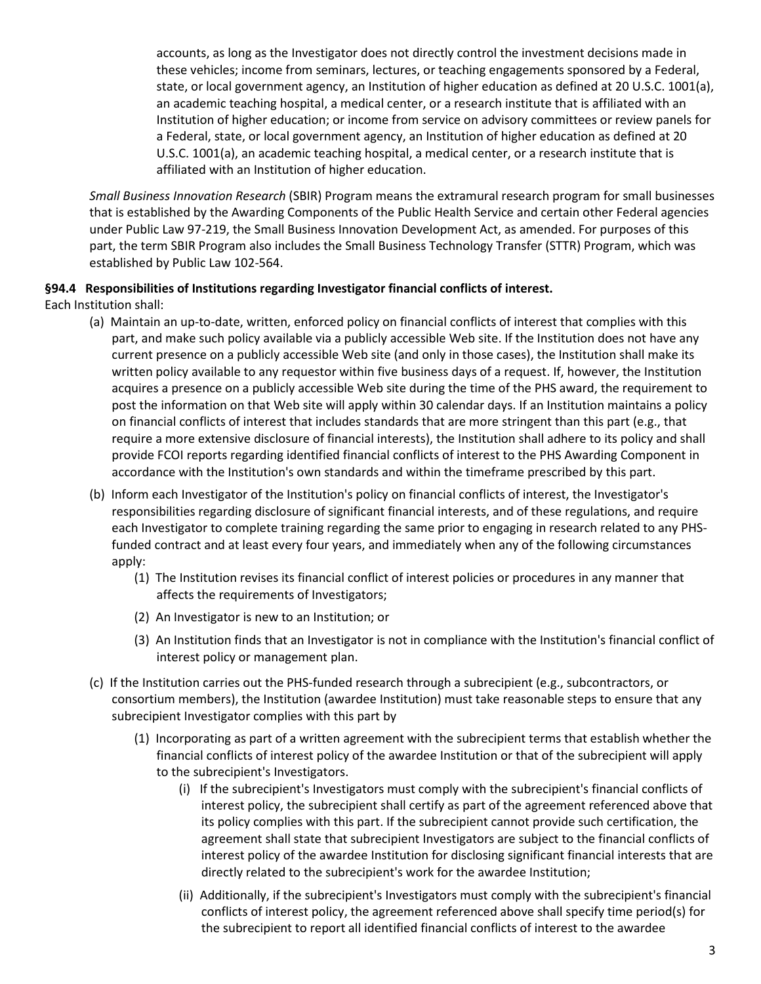accounts, as long as the Investigator does not directly control the investment decisions made in these vehicles; income from seminars, lectures, or teaching engagements sponsored by a Federal, state, or local government agency, an Institution of higher education as defined at 20 U.S.C. 1001(a), an academic teaching hospital, a medical center, or a research institute that is affiliated with an Institution of higher education; or income from service on advisory committees or review panels for a Federal, state, or local government agency, an Institution of higher education as defined at 20 U.S.C. 1001(a), an academic teaching hospital, a medical center, or a research institute that is affiliated with an Institution of higher education.

*Small Business Innovation Research* (SBIR) Program means the extramural research program for small businesses that is established by the Awarding Components of the Public Health Service and certain other Federal agencies under Public Law 97-219, the Small Business Innovation Development Act, as amended. For purposes of this part, the term SBIR Program also includes the Small Business Technology Transfer (STTR) Program, which was established by Public Law 102-564.

## **§94.4 Responsibilities of Institutions regarding Investigator financial conflicts of interest.**

Each Institution shall:

- (a) Maintain an up-to-date, written, enforced policy on financial conflicts of interest that complies with this part, and make such policy available via a publicly accessible Web site. If the Institution does not have any current presence on a publicly accessible Web site (and only in those cases), the Institution shall make its written policy available to any requestor within five business days of a request. If, however, the Institution acquires a presence on a publicly accessible Web site during the time of the PHS award, the requirement to post the information on that Web site will apply within 30 calendar days. If an Institution maintains a policy on financial conflicts of interest that includes standards that are more stringent than this part (e.g., that require a more extensive disclosure of financial interests), the Institution shall adhere to its policy and shall provide FCOI reports regarding identified financial conflicts of interest to the PHS Awarding Component in accordance with the Institution's own standards and within the timeframe prescribed by this part.
- (b) Inform each Investigator of the Institution's policy on financial conflicts of interest, the Investigator's responsibilities regarding disclosure of significant financial interests, and of these regulations, and require each Investigator to complete training regarding the same prior to engaging in research related to any PHSfunded contract and at least every four years, and immediately when any of the following circumstances apply:
	- (1) The Institution revises its financial conflict of interest policies or procedures in any manner that affects the requirements of Investigators;
	- (2) An Investigator is new to an Institution; or
	- (3) An Institution finds that an Investigator is not in compliance with the Institution's financial conflict of interest policy or management plan.
- (c) If the Institution carries out the PHS-funded research through a subrecipient (e.g., subcontractors, or consortium members), the Institution (awardee Institution) must take reasonable steps to ensure that any subrecipient Investigator complies with this part by
	- (1) Incorporating as part of a written agreement with the subrecipient terms that establish whether the financial conflicts of interest policy of the awardee Institution or that of the subrecipient will apply to the subrecipient's Investigators.
		- (i) If the subrecipient's Investigators must comply with the subrecipient's financial conflicts of interest policy, the subrecipient shall certify as part of the agreement referenced above that its policy complies with this part. If the subrecipient cannot provide such certification, the agreement shall state that subrecipient Investigators are subject to the financial conflicts of interest policy of the awardee Institution for disclosing significant financial interests that are directly related to the subrecipient's work for the awardee Institution;
		- (ii) Additionally, if the subrecipient's Investigators must comply with the subrecipient's financial conflicts of interest policy, the agreement referenced above shall specify time period(s) for the subrecipient to report all identified financial conflicts of interest to the awardee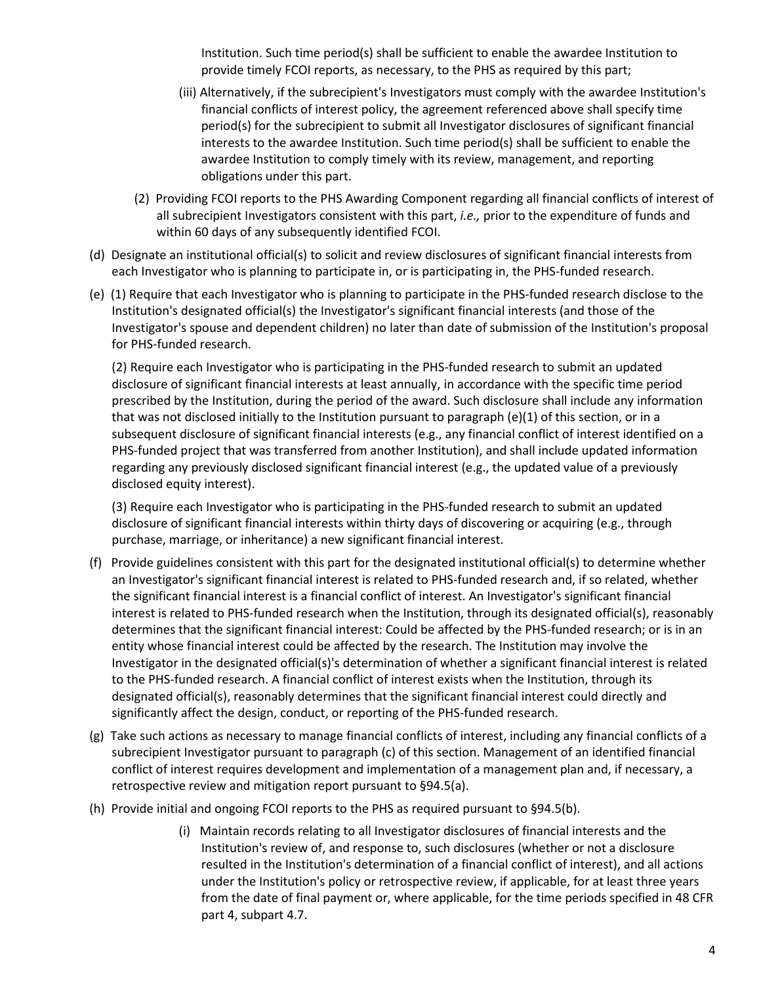Institution. Such time period(s) shall be sufficient to enable the awardee Institution to provide timely FCOI reports, as necessary, to the PHS as required by this part;

- (iii) Alternatively, if the subrecipient's Investigators must comply with the awardee Institution's financial conflicts of interest policy, the agreement referenced above shall specify time period(s) for the subrecipient to submit all Investigator disclosures of significant financial interests to the awardee Institution. Such time period(s) shall be sufficient to enable the awardee Institution to comply timely with its review, management, and reporting obligations under this part.
- (2) Providing FCOI reports to the PHS Awarding Component regarding all financial conflicts of interest of all subrecipient Investigators consistent with this part, *i.e.,* prior to the expenditure of funds and within 60 days of any subsequently identified FCOI.
- (d) Designate an institutional official(s) to solicit and review disclosures of significant financial interests from each Investigator who is planning to participate in, or is participating in, the PHS-funded research.
- (e) (1) Require that each Investigator who is planning to participate in the PHS-funded research disclose to the Institution's designated official(s) the Investigator's significant financial interests (and those of the Investigator's spouse and dependent children) no later than date of submission of the Institution's proposal for PHS-funded research.

(2) Require each Investigator who is participating in the PHS-funded research to submit an updated disclosure of significant financial interests at least annually, in accordance with the specific time period prescribed by the Institution, during the period of the award. Such disclosure shall include any information that was not disclosed initially to the Institution pursuant to paragraph (e)(1) of this section, or in a subsequent disclosure of significant financial interests (e.g., any financial conflict of interest identified on a PHS-funded project that was transferred from another Institution), and shall include updated information regarding any previously disclosed significant financial interest (e.g., the updated value of a previously disclosed equity interest).

(3) Require each Investigator who is participating in the PHS-funded research to submit an updated disclosure of significant financial interests within thirty days of discovering or acquiring (e.g., through purchase, marriage, or inheritance) a new significant financial interest.

- (f) Provide guidelines consistent with this part for the designated institutional official(s) to determine whether an Investigator's significant financial interest is related to PHS-funded research and, if so related, whether the significant financial interest is a financial conflict of interest. An Investigator's significant financial interest is related to PHS-funded research when the Institution, through its designated official(s), reasonably determines that the significant financial interest: Could be affected by the PHS-funded research; or is in an entity whose financial interest could be affected by the research. The Institution may involve the Investigator in the designated official(s)'s determination of whether a significant financial interest is related to the PHS-funded research. A financial conflict of interest exists when the Institution, through its designated official(s), reasonably determines that the significant financial interest could directly and significantly affect the design, conduct, or reporting of the PHS-funded research.
- (g) Take such actions as necessary to manage financial conflicts of interest, including any financial conflicts of a subrecipient Investigator pursuant to paragraph (c) of this section. Management of an identified financial conflict of interest requires development and implementation of a management plan and, if necessary, a retrospective review and mitigation report pursuant to §94.5(a).
- (h) Provide initial and ongoing FCOI reports to the PHS as required pursuant to §94.5(b).
	- (i) Maintain records relating to all Investigator disclosures of financial interests and the Institution's review of, and response to, such disclosures (whether or not a disclosure resulted in the Institution's determination of a financial conflict of interest), and all actions under the Institution's policy or retrospective review, if applicable, for at least three years from the date of final payment or, where applicable, for the time periods specified in 48 CFR part 4, subpart 4.7.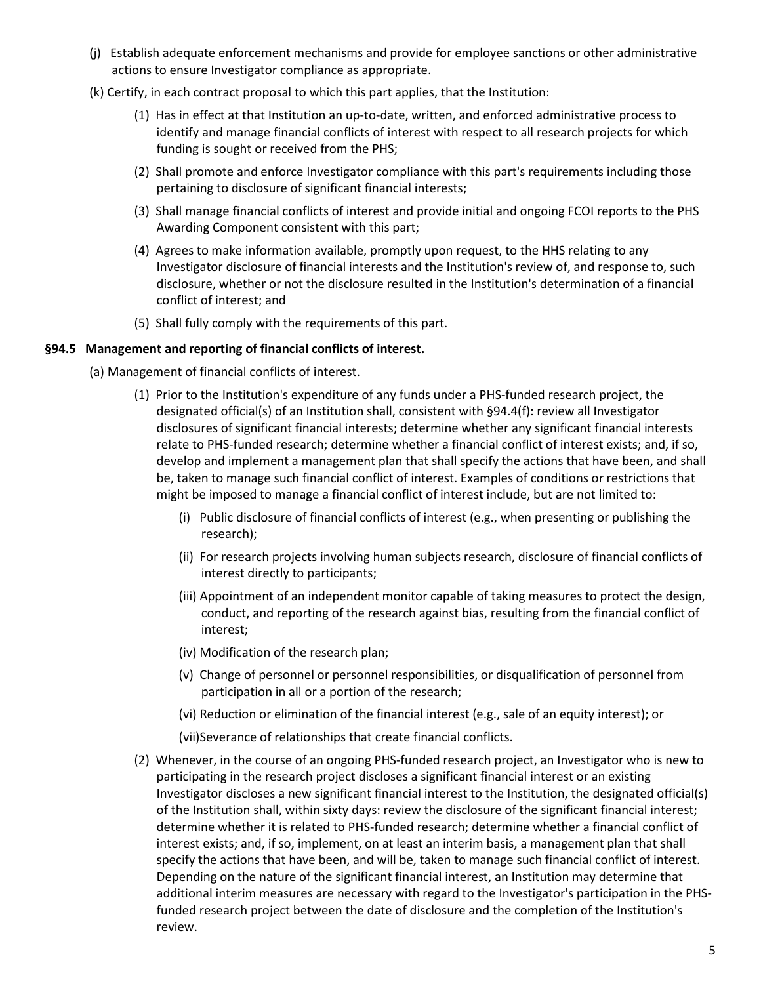- (j) Establish adequate enforcement mechanisms and provide for employee sanctions or other administrative actions to ensure Investigator compliance as appropriate.
- (k) Certify, in each contract proposal to which this part applies, that the Institution:
	- (1) Has in effect at that Institution an up-to-date, written, and enforced administrative process to identify and manage financial conflicts of interest with respect to all research projects for which funding is sought or received from the PHS;
	- (2) Shall promote and enforce Investigator compliance with this part's requirements including those pertaining to disclosure of significant financial interests;
	- (3) Shall manage financial conflicts of interest and provide initial and ongoing FCOI reports to the PHS Awarding Component consistent with this part;
	- (4) Agrees to make information available, promptly upon request, to the HHS relating to any Investigator disclosure of financial interests and the Institution's review of, and response to, such disclosure, whether or not the disclosure resulted in the Institution's determination of a financial conflict of interest; and
	- (5) Shall fully comply with the requirements of this part.

#### **§94.5 Management and reporting of financial conflicts of interest.**

- (a) Management of financial conflicts of interest.
	- (1) Prior to the Institution's expenditure of any funds under a PHS-funded research project, the designated official(s) of an Institution shall, consistent with §94.4(f): review all Investigator disclosures of significant financial interests; determine whether any significant financial interests relate to PHS-funded research; determine whether a financial conflict of interest exists; and, if so, develop and implement a management plan that shall specify the actions that have been, and shall be, taken to manage such financial conflict of interest. Examples of conditions or restrictions that might be imposed to manage a financial conflict of interest include, but are not limited to:
		- (i) Public disclosure of financial conflicts of interest (e.g., when presenting or publishing the research);
		- (ii) For research projects involving human subjects research, disclosure of financial conflicts of interest directly to participants;
		- (iii) Appointment of an independent monitor capable of taking measures to protect the design, conduct, and reporting of the research against bias, resulting from the financial conflict of interest;
		- (iv) Modification of the research plan;
		- (v) Change of personnel or personnel responsibilities, or disqualification of personnel from participation in all or a portion of the research;
		- (vi) Reduction or elimination of the financial interest (e.g., sale of an equity interest); or

(vii)Severance of relationships that create financial conflicts.

(2) Whenever, in the course of an ongoing PHS-funded research project, an Investigator who is new to participating in the research project discloses a significant financial interest or an existing Investigator discloses a new significant financial interest to the Institution, the designated official(s) of the Institution shall, within sixty days: review the disclosure of the significant financial interest; determine whether it is related to PHS-funded research; determine whether a financial conflict of interest exists; and, if so, implement, on at least an interim basis, a management plan that shall specify the actions that have been, and will be, taken to manage such financial conflict of interest. Depending on the nature of the significant financial interest, an Institution may determine that additional interim measures are necessary with regard to the Investigator's participation in the PHSfunded research project between the date of disclosure and the completion of the Institution's review.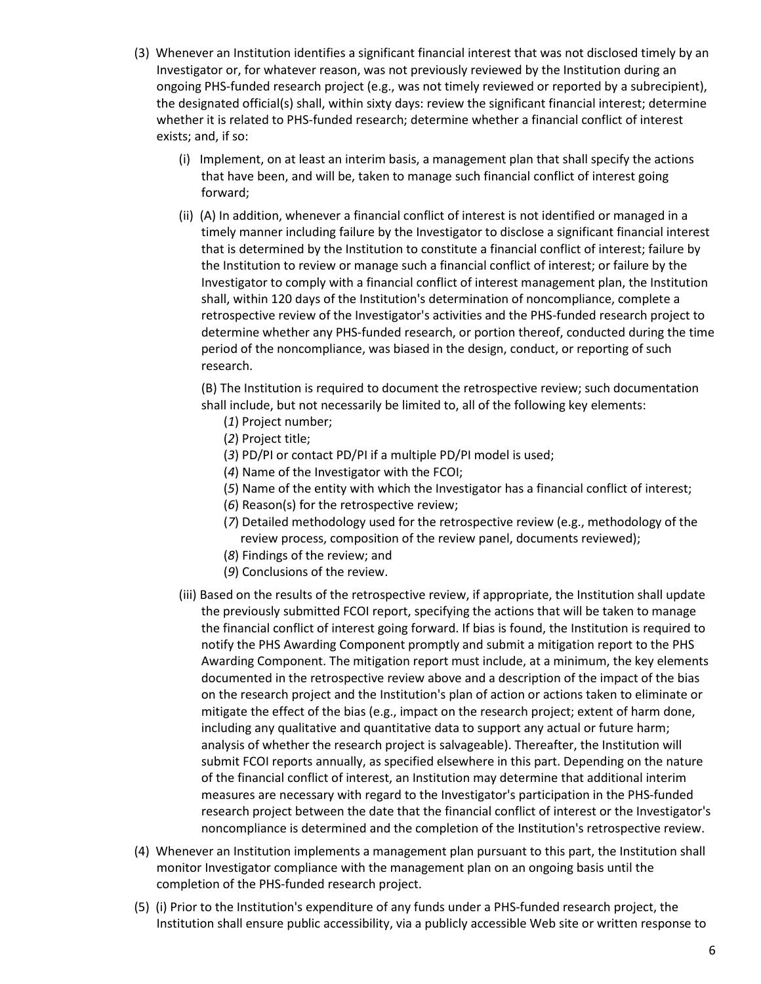- (3) Whenever an Institution identifies a significant financial interest that was not disclosed timely by an Investigator or, for whatever reason, was not previously reviewed by the Institution during an ongoing PHS-funded research project (e.g., was not timely reviewed or reported by a subrecipient), the designated official(s) shall, within sixty days: review the significant financial interest; determine whether it is related to PHS-funded research; determine whether a financial conflict of interest exists; and, if so:
	- (i) Implement, on at least an interim basis, a management plan that shall specify the actions that have been, and will be, taken to manage such financial conflict of interest going forward;
	- (ii) (A) In addition, whenever a financial conflict of interest is not identified or managed in a timely manner including failure by the Investigator to disclose a significant financial interest that is determined by the Institution to constitute a financial conflict of interest; failure by the Institution to review or manage such a financial conflict of interest; or failure by the Investigator to comply with a financial conflict of interest management plan, the Institution shall, within 120 days of the Institution's determination of noncompliance, complete a retrospective review of the Investigator's activities and the PHS-funded research project to determine whether any PHS-funded research, or portion thereof, conducted during the time period of the noncompliance, was biased in the design, conduct, or reporting of such research.

(B) The Institution is required to document the retrospective review; such documentation shall include, but not necessarily be limited to, all of the following key elements:

- (*1*) Project number;
- (*2*) Project title;
- (*3*) PD/PI or contact PD/PI if a multiple PD/PI model is used;
- (*4*) Name of the Investigator with the FCOI;
- (*5*) Name of the entity with which the Investigator has a financial conflict of interest;
- (*6*) Reason(s) for the retrospective review;
- (*7*) Detailed methodology used for the retrospective review (e.g., methodology of the review process, composition of the review panel, documents reviewed);
- (*8*) Findings of the review; and
- (*9*) Conclusions of the review.
- (iii) Based on the results of the retrospective review, if appropriate, the Institution shall update the previously submitted FCOI report, specifying the actions that will be taken to manage the financial conflict of interest going forward. If bias is found, the Institution is required to notify the PHS Awarding Component promptly and submit a mitigation report to the PHS Awarding Component. The mitigation report must include, at a minimum, the key elements documented in the retrospective review above and a description of the impact of the bias on the research project and the Institution's plan of action or actions taken to eliminate or mitigate the effect of the bias (e.g., impact on the research project; extent of harm done, including any qualitative and quantitative data to support any actual or future harm; analysis of whether the research project is salvageable). Thereafter, the Institution will submit FCOI reports annually, as specified elsewhere in this part. Depending on the nature of the financial conflict of interest, an Institution may determine that additional interim measures are necessary with regard to the Investigator's participation in the PHS-funded research project between the date that the financial conflict of interest or the Investigator's noncompliance is determined and the completion of the Institution's retrospective review.
- (4) Whenever an Institution implements a management plan pursuant to this part, the Institution shall monitor Investigator compliance with the management plan on an ongoing basis until the completion of the PHS-funded research project.
- (5) (i) Prior to the Institution's expenditure of any funds under a PHS-funded research project, the Institution shall ensure public accessibility, via a publicly accessible Web site or written response to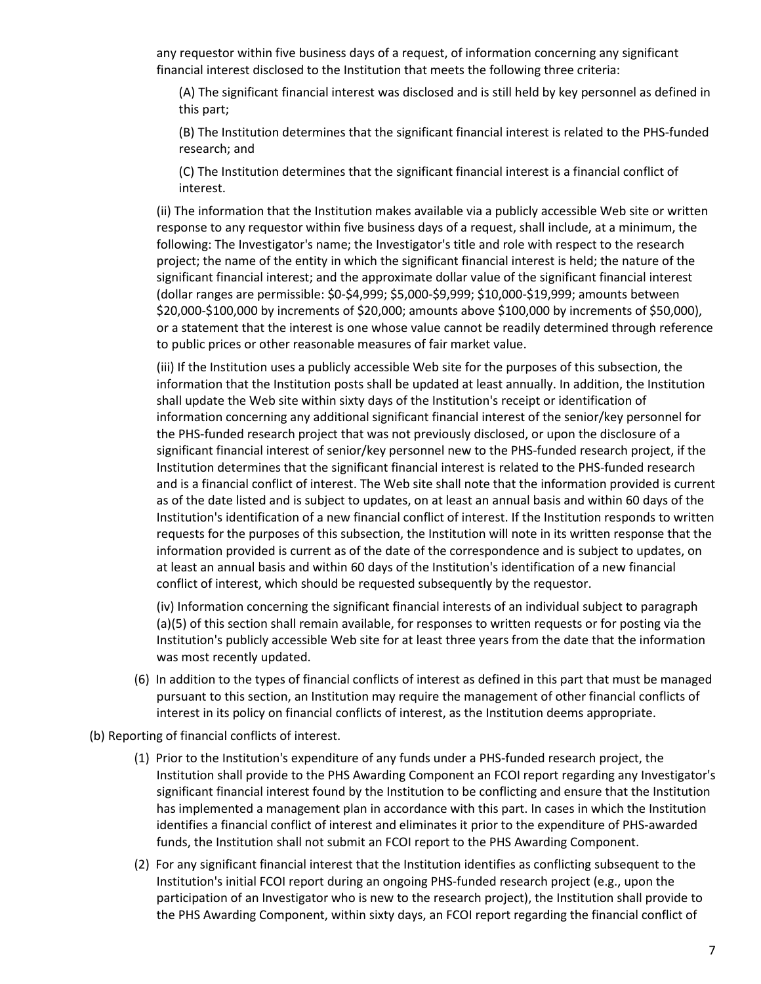any requestor within five business days of a request, of information concerning any significant financial interest disclosed to the Institution that meets the following three criteria:

(A) The significant financial interest was disclosed and is still held by key personnel as defined in this part;

(B) The Institution determines that the significant financial interest is related to the PHS-funded research; and

(C) The Institution determines that the significant financial interest is a financial conflict of interest.

(ii) The information that the Institution makes available via a publicly accessible Web site or written response to any requestor within five business days of a request, shall include, at a minimum, the following: The Investigator's name; the Investigator's title and role with respect to the research project; the name of the entity in which the significant financial interest is held; the nature of the significant financial interest; and the approximate dollar value of the significant financial interest (dollar ranges are permissible: \$0-\$4,999; \$5,000-\$9,999; \$10,000-\$19,999; amounts between \$20,000-\$100,000 by increments of \$20,000; amounts above \$100,000 by increments of \$50,000), or a statement that the interest is one whose value cannot be readily determined through reference to public prices or other reasonable measures of fair market value.

(iii) If the Institution uses a publicly accessible Web site for the purposes of this subsection, the information that the Institution posts shall be updated at least annually. In addition, the Institution shall update the Web site within sixty days of the Institution's receipt or identification of information concerning any additional significant financial interest of the senior/key personnel for the PHS-funded research project that was not previously disclosed, or upon the disclosure of a significant financial interest of senior/key personnel new to the PHS-funded research project, if the Institution determines that the significant financial interest is related to the PHS-funded research and is a financial conflict of interest. The Web site shall note that the information provided is current as of the date listed and is subject to updates, on at least an annual basis and within 60 days of the Institution's identification of a new financial conflict of interest. If the Institution responds to written requests for the purposes of this subsection, the Institution will note in its written response that the information provided is current as of the date of the correspondence and is subject to updates, on at least an annual basis and within 60 days of the Institution's identification of a new financial conflict of interest, which should be requested subsequently by the requestor.

(iv) Information concerning the significant financial interests of an individual subject to paragraph (a)(5) of this section shall remain available, for responses to written requests or for posting via the Institution's publicly accessible Web site for at least three years from the date that the information was most recently updated.

(6) In addition to the types of financial conflicts of interest as defined in this part that must be managed pursuant to this section, an Institution may require the management of other financial conflicts of interest in its policy on financial conflicts of interest, as the Institution deems appropriate.

(b) Reporting of financial conflicts of interest.

- (1) Prior to the Institution's expenditure of any funds under a PHS-funded research project, the Institution shall provide to the PHS Awarding Component an FCOI report regarding any Investigator's significant financial interest found by the Institution to be conflicting and ensure that the Institution has implemented a management plan in accordance with this part. In cases in which the Institution identifies a financial conflict of interest and eliminates it prior to the expenditure of PHS-awarded funds, the Institution shall not submit an FCOI report to the PHS Awarding Component.
- (2) For any significant financial interest that the Institution identifies as conflicting subsequent to the Institution's initial FCOI report during an ongoing PHS-funded research project (e.g., upon the participation of an Investigator who is new to the research project), the Institution shall provide to the PHS Awarding Component, within sixty days, an FCOI report regarding the financial conflict of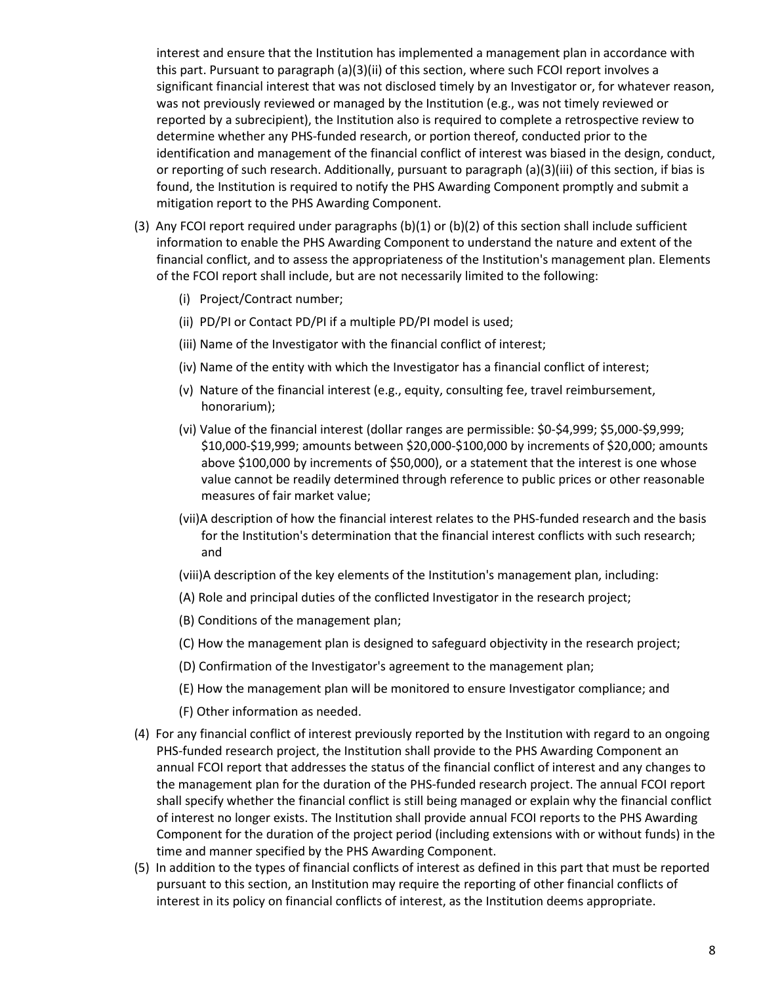interest and ensure that the Institution has implemented a management plan in accordance with this part. Pursuant to paragraph (a)(3)(ii) of this section, where such FCOI report involves a significant financial interest that was not disclosed timely by an Investigator or, for whatever reason, was not previously reviewed or managed by the Institution (e.g., was not timely reviewed or reported by a subrecipient), the Institution also is required to complete a retrospective review to determine whether any PHS-funded research, or portion thereof, conducted prior to the identification and management of the financial conflict of interest was biased in the design, conduct, or reporting of such research. Additionally, pursuant to paragraph (a)(3)(iii) of this section, if bias is found, the Institution is required to notify the PHS Awarding Component promptly and submit a mitigation report to the PHS Awarding Component.

- (3) Any FCOI report required under paragraphs  $(b)(1)$  or  $(b)(2)$  of this section shall include sufficient information to enable the PHS Awarding Component to understand the nature and extent of the financial conflict, and to assess the appropriateness of the Institution's management plan. Elements of the FCOI report shall include, but are not necessarily limited to the following:
	- (i) Project/Contract number;
	- (ii) PD/PI or Contact PD/PI if a multiple PD/PI model is used;
	- (iii) Name of the Investigator with the financial conflict of interest;
	- (iv) Name of the entity with which the Investigator has a financial conflict of interest;
	- (v) Nature of the financial interest (e.g., equity, consulting fee, travel reimbursement, honorarium);
	- (vi) Value of the financial interest (dollar ranges are permissible: \$0-\$4,999; \$5,000-\$9,999; \$10,000-\$19,999; amounts between \$20,000-\$100,000 by increments of \$20,000; amounts above \$100,000 by increments of \$50,000), or a statement that the interest is one whose value cannot be readily determined through reference to public prices or other reasonable measures of fair market value;
	- (vii)A description of how the financial interest relates to the PHS-funded research and the basis for the Institution's determination that the financial interest conflicts with such research; and
	- (viii)A description of the key elements of the Institution's management plan, including:
	- (A) Role and principal duties of the conflicted Investigator in the research project;
	- (B) Conditions of the management plan;
	- (C) How the management plan is designed to safeguard objectivity in the research project;
	- (D) Confirmation of the Investigator's agreement to the management plan;
	- (E) How the management plan will be monitored to ensure Investigator compliance; and
	- (F) Other information as needed.
- (4) For any financial conflict of interest previously reported by the Institution with regard to an ongoing PHS-funded research project, the Institution shall provide to the PHS Awarding Component an annual FCOI report that addresses the status of the financial conflict of interest and any changes to the management plan for the duration of the PHS-funded research project. The annual FCOI report shall specify whether the financial conflict is still being managed or explain why the financial conflict of interest no longer exists. The Institution shall provide annual FCOI reports to the PHS Awarding Component for the duration of the project period (including extensions with or without funds) in the time and manner specified by the PHS Awarding Component.
- (5) In addition to the types of financial conflicts of interest as defined in this part that must be reported pursuant to this section, an Institution may require the reporting of other financial conflicts of interest in its policy on financial conflicts of interest, as the Institution deems appropriate.